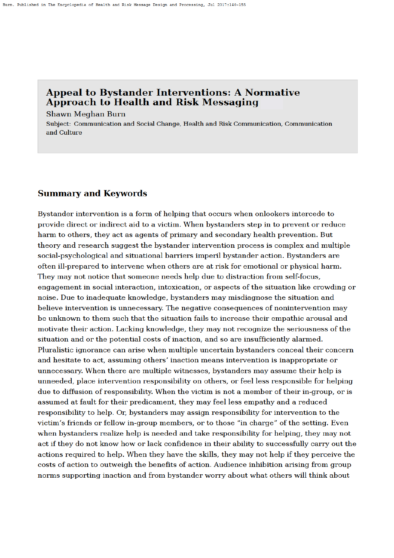#### **Appeal to Bystander Interventions: A Normative** Approach to Health and Risk Messaging

**Shawn Meghan Burn** 

Subject: Communication and Social Change, Health and Risk Communication, Communication and Culture

#### **Summary and Keywords**

Bystander intervention is a form of helping that occurs when onlookers intercede to provide direct or indirect aid to a victim. When by standers step in to prevent or reduce harm to others, they act as agents of primary and secondary health prevention. But theory and research suggest the bystander intervention process is complex and multiple social-psychological and situational barriers imperil bystander action. Bystanders are often ill-prepared to intervene when others are at risk for emotional or physical harm. They may not notice that someone needs help due to distraction from self-focus, engagement in social interaction, intoxication, or aspects of the situation like crowding or noise. Due to inadequate knowledge, bystanders may misdiagnose the situation and believe intervention is unnecessary. The negative consequences of nonintervention may be unknown to them such that the situation fails to increase their empathic arousal and motivate their action. Lacking knowledge, they may not recognize the seriousness of the situation and or the potential costs of inaction, and so are insufficiently alarmed. Pluralistic ignorance can arise when multiple uncertain bystanders conceal their concern and hesitate to act, assuming others' inaction means intervention is inappropriate or unnecessary. When there are multiple witnesses, bystanders may assume their help is unneeded, place intervention responsibility on others, or feel less responsible for helping due to diffusion of responsibility. When the victim is not a member of their in-group, or is assumed at fault for their predicament, they may feel less empathy and a reduced responsibility to help. Or, bystanders may assign responsibility for intervention to the victim's friends or fellow in-group members, or to those "in charge" of the setting. Even when bystanders realize help is needed and take responsibility for helping, they may not act if they do not know how or lack confidence in their ability to successfully carry out the actions required to help. When they have the skills, they may not help if they perceive the costs of action to outweigh the benefits of action. Audience inhibition arising from group norms supporting inaction and from bystander worry about what others will think about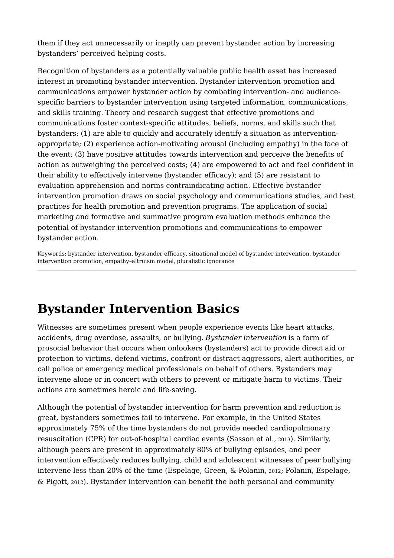them if they act unnecessarily or ineptly can prevent bystander action by increasing bystanders' perceived helping costs.

Recognition of bystanders as a potentially valuable public health asset has increased interest in promoting bystander intervention. Bystander intervention promotion and communications empower bystander action by combating intervention- and audiencespecific barriers to bystander intervention using targeted information, communications, and skills training. Theory and research suggest that effective promotions and communications foster context-specific attitudes, beliefs, norms, and skills such that bystanders: (1) are able to quickly and accurately identify a situation as interventionappropriate; (2) experience action-motivating arousal (including empathy) in the face of the event; (3) have positive attitudes towards intervention and perceive the benefits of action as outweighing the perceived costs; (4) are empowered to act and feel confident in their ability to effectively intervene (bystander efficacy); and (5) are resistant to evaluation apprehension and norms contraindicating action. Effective bystander intervention promotion draws on social psychology and communications studies, and best practices for health promotion and prevention programs. The application of social marketing and formative and summative program evaluation methods enhance the potential of bystander intervention promotions and communications to empower bystander action.

Keywords: bystander intervention, bystander efficacy, situational model of bystander intervention, bystander intervention promotion, empathy–altruism model, pluralistic ignorance

## **Bystander Intervention Basics**

Witnesses are sometimes present when people experience events like heart attacks, accidents, drug overdose, assaults, or bullying. *Bystander intervention* is a form of prosocial behavior that occurs when onlookers (bystanders) act to provide direct aid or protection to victims, defend victims, confront or distract aggressors, alert authorities, or call police or emergency medical professionals on behalf of others. Bystanders may intervene alone or in concert with others to prevent or mitigate harm to victims. Their actions are sometimes heroic and life-saving.

Although the potential of bystander intervention for harm prevention and reduction is great, bystanders sometimes fail to intervene. For example, in the United States approximately 75% of the time bystanders do not provide needed cardiopulmonary resuscitation (CPR) for out-of-hospital cardiac events (Sasson et al., 2013). Similarly, although peers are present in approximately 80% of bullying episodes, and peer intervention effectively reduces bullying, child and adolescent witnesses of peer bullying intervene less than 20% of the time (Espelage, Green, & Polanin, 2012; Polanin, Espelage, & Pigott, 2012). Bystander intervention can benefit the both personal and community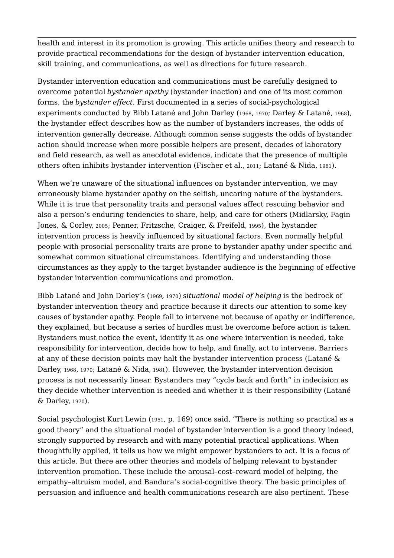health and interest in its promotion is growing. This article unifies theory and research to provide practical recommendations for the design of bystander intervention education, skill training, and communications, as well as directions for future research.

Bystander intervention education and communications must be carefully designed to overcome potential *bystander apathy* (bystander inaction) and one of its most common forms, the *bystander effect*. First documented in a series of social-psychological experiments conducted by Bibb Latané and John Darley (1968, 1970; Darley & Latané, 1968), the bystander effect describes how as the number of bystanders increases, the odds of intervention generally decrease. Although common sense suggests the odds of bystander action should increase when more possible helpers are present, decades of laboratory and field research, as well as anecdotal evidence, indicate that the presence of multiple others often inhibits bystander intervention (Fischer et al., 2011; Latané & Nida, 1981).

When we're unaware of the situational influences on bystander intervention, we may erroneously blame bystander apathy on the selfish, uncaring nature of the bystanders. While it is true that personality traits and personal values affect rescuing behavior and also a person's enduring tendencies to share, help, and care for others (Midlarsky, Fagin Jones, & Corley, 2005; Penner, Fritzsche, Craiger, & Freifeld, 1995), the bystander intervention process is heavily influenced by situational factors. Even normally helpful people with prosocial personality traits are prone to bystander apathy under specific and somewhat common situational circumstances. Identifying and understanding those circumstances as they apply to the target bystander audience is the beginning of effective bystander intervention communications and promotion.

 Bibb Latané and John Darley's (1969, 1970) *situational model of helping* is the bedrock of Darley, 1968, 1970; Latané & Nida, 1981). However, the bystander intervention decision bystander intervention theory and practice because it directs our attention to some key causes of bystander apathy. People fail to intervene not because of apathy or indifference, they explained, but because a series of hurdles must be overcome before action is taken. Bystanders must notice the event, identify it as one where intervention is needed, take responsibility for intervention, decide how to help, and finally, act to intervene. Barriers at any of these decision points may halt the bystander intervention process (Latané & process is not necessarily linear. Bystanders may "cycle back and forth" in indecision as they decide whether intervention is needed and whether it is their responsibility (Latané & Darley, 1970).

Social psychologist Kurt Lewin (1951, p. 169) once said, "There is nothing so practical as a good theory" and the situational model of bystander intervention is a good theory indeed, strongly supported by research and with many potential practical applications. When thoughtfully applied, it tells us how we might empower bystanders to act. It is a focus of this article. But there are other theories and models of helping relevant to bystander intervention promotion. These include the arousal–cost–reward model of helping, the empathy–altruism model, and Bandura's social-cognitive theory. The basic principles of persuasion and influence and health communications research are also pertinent. These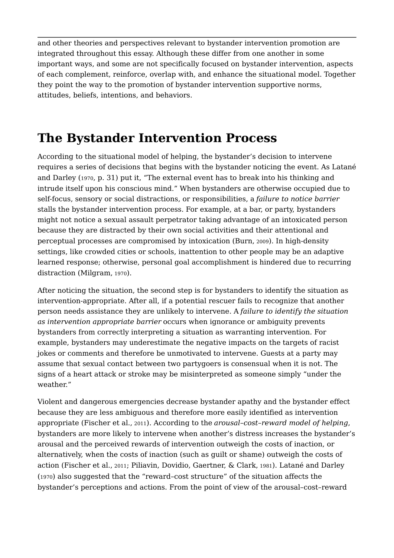and other theories and perspectives relevant to bystander intervention promotion are integrated throughout this essay. Although these differ from one another in some important ways, and some are not specifically focused on bystander intervention, aspects of each complement, reinforce, overlap with, and enhance the situational model. Together they point the way to the promotion of bystander intervention supportive norms, attitudes, beliefs, intentions, and behaviors.

## **The Bystander Intervention Process**

According to the situational model of helping, the bystander's decision to intervene requires a series of decisions that begins with the bystander noticing the event. As Latané and Darley (1970, p. 31) put it, "The external event has to break into his thinking and intrude itself upon his conscious mind." When bystanders are otherwise occupied due to self-focus, sensory or social distractions, or responsibilities, a *failure to notice barrier*  stalls the bystander intervention process. For example, at a bar, or party, bystanders might not notice a sexual assault perpetrator taking advantage of an intoxicated person because they are distracted by their own social activities and their attentional and perceptual processes are compromised by intoxication (Burn, 2009). In high-density settings, like crowded cities or schools, inattention to other people may be an adaptive learned response; otherwise, personal goal accomplishment is hindered due to recurring distraction (Milgram, 1970).

After noticing the situation, the second step is for bystanders to identify the situation as intervention-appropriate. After all, if a potential rescuer fails to recognize that another person needs assistance they are unlikely to intervene. A *failure to identify the situation as intervention appropriate barrier* occurs when ignorance or ambiguity prevents bystanders from correctly interpreting a situation as warranting intervention. For example, bystanders may underestimate the negative impacts on the targets of racist jokes or comments and therefore be unmotivated to intervene. Guests at a party may assume that sexual contact between two partygoers is consensual when it is not. The signs of a heart attack or stroke may be misinterpreted as someone simply "under the weather."

Violent and dangerous emergencies decrease bystander apathy and the bystander effect because they are less ambiguous and therefore more easily identified as intervention appropriate (Fischer et al., 2011). According to the *arousal–cost–reward model of helping*, bystanders are more likely to intervene when another's distress increases the bystander's arousal and the perceived rewards of intervention outweigh the costs of inaction, or alternatively, when the costs of inaction (such as guilt or shame) outweigh the costs of action (Fischer et al., 2011; Piliavin, Dovidio, Gaertner, & Clark, 1981). Latané and Darley (1970) also suggested that the "reward–cost structure" of the situation affects the bystander's perceptions and actions. From the point of view of the arousal–cost–reward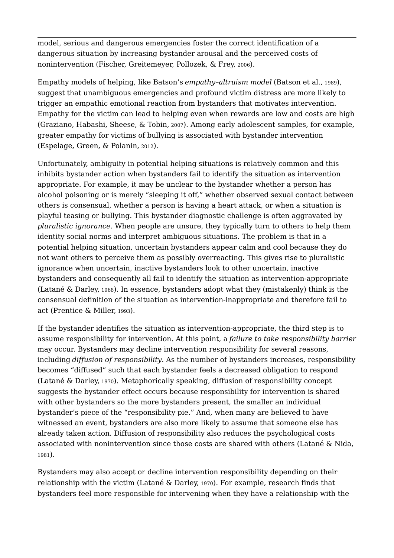model, serious and dangerous emergencies foster the correct identification of a dangerous situation by increasing bystander arousal and the perceived costs of nonintervention (Fischer, Greitemeyer, Pollozek, & Frey, 2006).

Empathy models of helping, like Batson's *empathy–altruism model* (Batson et al., 1989), suggest that unambiguous emergencies and profound victim distress are more likely to trigger an empathic emotional reaction from bystanders that motivates intervention. Empathy for the victim can lead to helping even when rewards are low and costs are high (Graziano, Habashi, Sheese, & Tobin, 2007). Among early adolescent samples, for example, greater empathy for victims of bullying is associated with bystander intervention (Espelage, Green, & Polanin, 2012).

Unfortunately, ambiguity in potential helping situations is relatively common and this inhibits bystander action when bystanders fail to identify the situation as intervention appropriate. For example, it may be unclear to the bystander whether a person has alcohol poisoning or is merely "sleeping it off," whether observed sexual contact between others is consensual, whether a person is having a heart attack, or when a situation is playful teasing or bullying. This bystander diagnostic challenge is often aggravated by *pluralistic ignorance*. When people are unsure, they typically turn to others to help them identity social norms and interpret ambiguous situations. The problem is that in a potential helping situation, uncertain bystanders appear calm and cool because they do not want others to perceive them as possibly overreacting. This gives rise to pluralistic ignorance when uncertain, inactive bystanders look to other uncertain, inactive bystanders and consequently all fail to identify the situation as intervention-appropriate (Latané & Darley, 1968). In essence, bystanders adopt what they (mistakenly) think is the consensual definition of the situation as intervention-inappropriate and therefore fail to act (Prentice & Miller, 1993).

If the bystander identifies the situation as intervention-appropriate, the third step is to assume responsibility for intervention. At this point, a *failure to take responsibility barrier*  may occur. Bystanders may decline intervention responsibility for several reasons, including *diffusion of responsibility*. As the number of bystanders increases, responsibility becomes "diffused" such that each bystander feels a decreased obligation to respond (Latané & Darley, 1970). Metaphorically speaking, diffusion of responsibility concept suggests the bystander effect occurs because responsibility for intervention is shared with other bystanders so the more bystanders present, the smaller an individual bystander's piece of the "responsibility pie." And, when many are believed to have witnessed an event, bystanders are also more likely to assume that someone else has already taken action. Diffusion of responsibility also reduces the psychological costs associated with nonintervention since those costs are shared with others (Latané & Nida, 1981).

Bystanders may also accept or decline intervention responsibility depending on their relationship with the victim (Latané & Darley, 1970). For example, research finds that bystanders feel more responsible for intervening when they have a relationship with the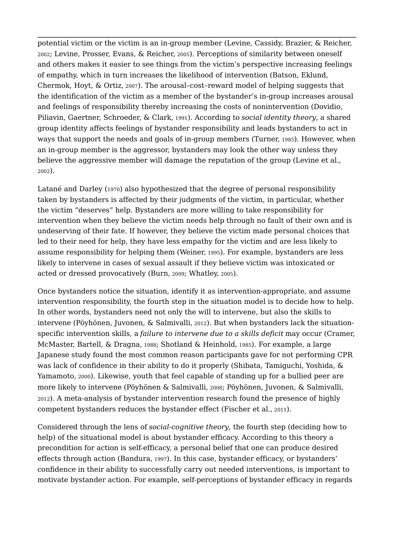potential victim or the victim is an in-group member (Levine, Cassidy, Brazier, & Reicher, 2002; Levine, Prosser, Evans, & Reicher, 2005). Perceptions of similarity between oneself and others makes it easier to see things from the victim's perspective increasing feelings of empathy, which in turn increases the likelihood of intervention (Batson, Eklund, Chermok, Hoyt, & Ortiz, 2007). The arousal–cost–reward model of helping suggests that the identification of the victim as a member of the bystander's in-group increases arousal and feelings of responsibility thereby increasing the costs of nonintervention (Dovidio, Piliavin, Gaertner, Schroeder, & Clark, 1991). According to *social identity theory*, a shared group identity affects feelings of bystander responsibility and leads bystanders to act in ways that support the needs and goals of in-group members (Turner, 1985). However, when an in-group member is the aggressor, bystanders may look the other way unless they believe the aggressive member will damage the reputation of the group (Levine et al., 2002).

Latané and Darley (1970) also hypothesized that the degree of personal responsibility taken by bystanders is affected by their judgments of the victim, in particular, whether the victim "deserves" help. Bystanders are more willing to take responsibility for intervention when they believe the victim needs help through no fault of their own and is undeserving of their fate. If however, they believe the victim made personal choices that led to their need for help, they have less empathy for the victim and are less likely to assume responsibility for helping them (Weiner, 1995). For example, bystanders are less likely to intervene in cases of sexual assault if they believe victim was intoxicated or acted or dressed provocatively (Burn, 2009; Whatley, 2005).

Once bystanders notice the situation, identify it as intervention-appropriate, and assume intervention responsibility, the fourth step in the situation model is to decide how to help. In other words, bystanders need not only the will to intervene, but also the skills to intervene (Pöyhönen, Juvonen, & Salmivalli, 2012). But when bystanders lack the situationspecific intervention skills, a *failure to intervene due to a skills deficit* may occur (Cramer, McMaster, Bartell, & Dragna, 1988; Shotland & Heinhold, 1985). For example, a large Japanese study found the most common reason participants gave for not performing CPR was lack of confidence in their ability to do it properly (Shibata, Tamiguchi, Yoshida, & Yamamoto, 2000). Likewise, youth that feel capable of standing up for a bullied peer are more likely to intervene (Pöyhönen & Salmivalli, 2008; Pöyhönen, Juvonen, & Salmivalli, 2012). A meta-analysis of bystander intervention research found the presence of highly competent bystanders reduces the bystander effect (Fischer et al., 2011).

Considered through the lens of *social-cognitive theory*, the fourth step (deciding how to help) of the situational model is about bystander efficacy. According to this theory a precondition for action is self-efficacy, a personal belief that one can produce desired effects through action (Bandura, 1997). In this case, bystander efficacy, or bystanders' confidence in their ability to successfully carry out needed interventions, is important to motivate bystander action. For example, self-perceptions of bystander efficacy in regards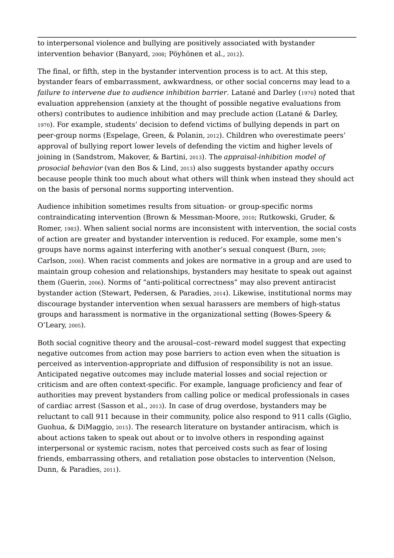to interpersonal violence and bullying are positively associated with bystander intervention behavior (Banyard, 2008; Pöyhönen et al., 2012).

 joining in (Sandstrom, Makover, & Bartini, 2013). The *appraisal-inhibition model of*  The final, or fifth, step in the bystander intervention process is to act. At this step, bystander fears of embarrassment, awkwardness, or other social concerns may lead to a *failure to intervene due to audience inhibition barrier*. Latané and Darley (1970) noted that evaluation apprehension (anxiety at the thought of possible negative evaluations from others) contributes to audience inhibition and may preclude action (Latané & Darley, <sup>1970</sup>). For example, students' decision to defend victims of bullying depends in part on peer-group norms (Espelage, Green, & Polanin, 2012). Children who overestimate peers' approval of bullying report lower levels of defending the victim and higher levels of *prosocial behavior* (van den Bos & Lind, 2013) also suggests bystander apathy occurs because people think too much about what others will think when instead they should act on the basis of personal norms supporting intervention.

Audience inhibition sometimes results from situation- or group-specific norms contraindicating intervention (Brown & Messman-Moore, 2010; Rutkowski, Gruder, & Romer, 1983). When salient social norms are inconsistent with intervention, the social costs of action are greater and bystander intervention is reduced. For example, some men's groups have norms against interfering with another's sexual conquest (Burn, 2009; Carlson, 2008). When racist comments and jokes are normative in a group and are used to maintain group cohesion and relationships, bystanders may hesitate to speak out against them (Guerin, 2006). Norms of "anti-political correctness" may also prevent antiracist bystander action (Stewart, Pedersen, & Paradies, 2014). Likewise, institutional norms may discourage bystander intervention when sexual harassers are members of high-status groups and harassment is normative in the organizational setting (Bowes-Speery & O'Leary, 2005).

Both social cognitive theory and the arousal–cost–reward model suggest that expecting negative outcomes from action may pose barriers to action even when the situation is perceived as intervention-appropriate and diffusion of responsibility is not an issue. Anticipated negative outcomes may include material losses and social rejection or criticism and are often context-specific. For example, language proficiency and fear of authorities may prevent bystanders from calling police or medical professionals in cases of cardiac arrest (Sasson et al., 2013). In case of drug overdose, bystanders may be reluctant to call 911 because in their community, police also respond to 911 calls (Giglio, Guohua, & DiMaggio, 2015). The research literature on bystander antiracism, which is about actions taken to speak out about or to involve others in responding against interpersonal or systemic racism, notes that perceived costs such as fear of losing friends, embarrassing others, and retaliation pose obstacles to intervention (Nelson, Dunn, & Paradies, 2011).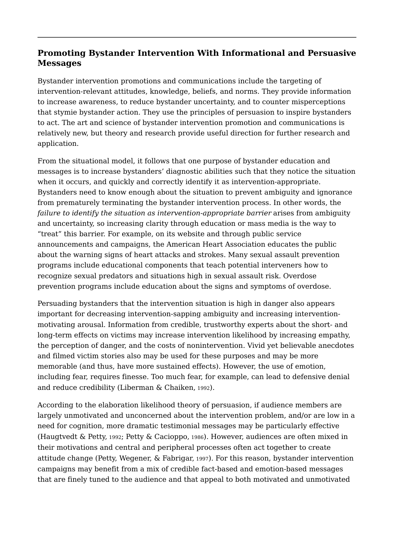#### **Promoting Bystander Intervention With Informational and Persuasive Messages**

Bystander intervention promotions and communications include the targeting of intervention-relevant attitudes, knowledge, beliefs, and norms. They provide information to increase awareness, to reduce bystander uncertainty, and to counter misperceptions that stymie bystander action. They use the principles of persuasion to inspire bystanders to act. The art and science of bystander intervention promotion and communications is relatively new, but theory and research provide useful direction for further research and application.

From the situational model, it follows that one purpose of bystander education and messages is to increase bystanders' diagnostic abilities such that they notice the situation when it occurs, and quickly and correctly identify it as intervention-appropriate. Bystanders need to know enough about the situation to prevent ambiguity and ignorance from prematurely terminating the bystander intervention process. In other words, the failure to identify the situation as intervention-appropriate barrier arises from ambiguity and uncertainty, so increasing clarity through education or mass media is the way to "treat" this barrier. For example, on its website and through public service announcements and campaigns, the American Heart Association educates the public about the warning signs of heart attacks and strokes. Many sexual assault prevention programs include educational components that teach potential interveners how to recognize sexual predators and situations high in sexual assault risk. Overdose prevention programs include education about the signs and symptoms of overdose.

Persuading bystanders that the intervention situation is high in danger also appears important for decreasing intervention-sapping ambiguity and increasing interventionmotivating arousal. Information from credible, trustworthy experts about the short- and long-term effects on victims may increase intervention likelihood by increasing empathy, the perception of danger, and the costs of nonintervention. Vivid yet believable anecdotes and filmed victim stories also may be used for these purposes and may be more memorable (and thus, have more sustained effects). However, the use of emotion, including fear, requires finesse. Too much fear, for example, can lead to defensive denial and reduce credibility (Liberman & Chaiken, 1992).

According to the elaboration likelihood theory of persuasion, if audience members are largely unmotivated and unconcerned about the intervention problem, and/or are low in a need for cognition, more dramatic testimonial messages may be particularly effective (Haugtvedt & Petty, 1992; Petty & Cacioppo, 1986). However, audiences are often mixed in their motivations and central and peripheral processes often act together to create attitude change (Petty, Wegener, & Fabrigar, 1997). For this reason, bystander intervention campaigns may benefit from a mix of credible fact-based and emotion-based messages that are finely tuned to the audience and that appeal to both motivated and unmotivated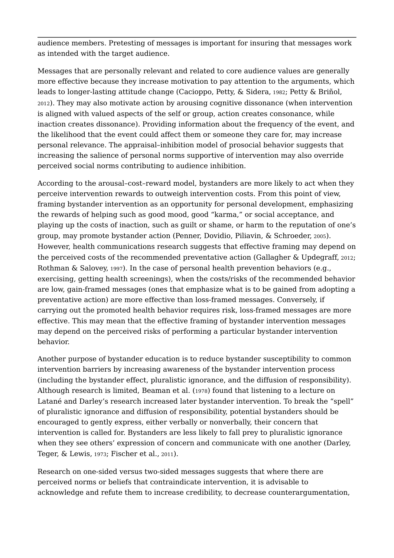audience members. Pretesting of messages is important for insuring that messages work as intended with the target audience.

Messages that are personally relevant and related to core audience values are generally more effective because they increase motivation to pay attention to the arguments, which leads to longer-lasting attitude change (Cacioppo, Petty, & Sidera, 1982; Petty & Briñol, 2012). They may also motivate action by arousing cognitive dissonance (when intervention is aligned with valued aspects of the self or group, action creates consonance, while inaction creates dissonance). Providing information about the frequency of the event, and the likelihood that the event could affect them or someone they care for, may increase personal relevance. The appraisal–inhibition model of prosocial behavior suggests that increasing the salience of personal norms supportive of intervention may also override perceived social norms contributing to audience inhibition.

According to the arousal–cost–reward model, bystanders are more likely to act when they perceive intervention rewards to outweigh intervention costs. From this point of view, framing bystander intervention as an opportunity for personal development, emphasizing the rewards of helping such as good mood, good "karma," or social acceptance, and playing up the costs of inaction, such as guilt or shame, or harm to the reputation of one's group, may promote bystander action (Penner, Dovidio, Piliavin, & Schroeder, 2005). However, health communications research suggests that effective framing may depend on the perceived costs of the recommended preventative action (Gallagher & Updegraff, 2012; Rothman & Salovey, 1997). In the case of personal health prevention behaviors (e.g., exercising, getting health screenings), when the costs/risks of the recommended behavior are low, gain-framed messages (ones that emphasize what is to be gained from adopting a preventative action) are more effective than loss-framed messages. Conversely, if carrying out the promoted health behavior requires risk, loss-framed messages are more effective. This may mean that the effective framing of bystander intervention messages may depend on the perceived risks of performing a particular bystander intervention behavior.

Another purpose of bystander education is to reduce bystander susceptibility to common intervention barriers by increasing awareness of the bystander intervention process (including the bystander effect, pluralistic ignorance, and the diffusion of responsibility). Although research is limited, Beaman et al. (1978) found that listening to a lecture on Latané and Darley's research increased later bystander intervention. To break the "spell" of pluralistic ignorance and diffusion of responsibility, potential bystanders should be encouraged to gently express, either verbally or nonverbally, their concern that intervention is called for. Bystanders are less likely to fall prey to pluralistic ignorance when they see others' expression of concern and communicate with one another (Darley, Teger, & Lewis, 1973; Fischer et al., 2011).

Research on one-sided versus two-sided messages suggests that where there are perceived norms or beliefs that contraindicate intervention, it is advisable to acknowledge and refute them to increase credibility, to decrease counterargumentation,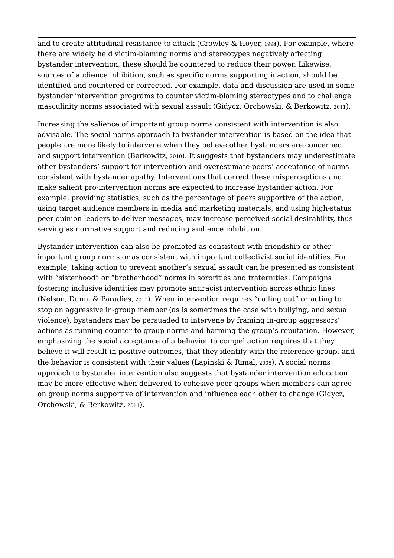and to create attitudinal resistance to attack (Crowley & Hoyer, 1994). For example, where there are widely held victim-blaming norms and stereotypes negatively affecting bystander intervention, these should be countered to reduce their power. Likewise, sources of audience inhibition, such as specific norms supporting inaction, should be identified and countered or corrected. For example, data and discussion are used in some bystander intervention programs to counter victim-blaming stereotypes and to challenge masculinity norms associated with sexual assault (Gidycz, Orchowski, & Berkowitz, 2011).

Increasing the salience of important group norms consistent with intervention is also advisable. The social norms approach to bystander intervention is based on the idea that people are more likely to intervene when they believe other bystanders are concerned and support intervention (Berkowitz, 2010). It suggests that bystanders may underestimate other bystanders' support for intervention and overestimate peers' acceptance of norms consistent with bystander apathy. Interventions that correct these misperceptions and make salient pro-intervention norms are expected to increase bystander action. For example, providing statistics, such as the percentage of peers supportive of the action, using target audience members in media and marketing materials, and using high-status peer opinion leaders to deliver messages, may increase perceived social desirability, thus serving as normative support and reducing audience inhibition.

Bystander intervention can also be promoted as consistent with friendship or other important group norms or as consistent with important collectivist social identities. For example, taking action to prevent another's sexual assault can be presented as consistent with "sisterhood" or "brotherhood" norms in sororities and fraternities. Campaigns fostering inclusive identities may promote antiracist intervention across ethnic lines (Nelson, Dunn, & Paradies, 2011). When intervention requires "calling out" or acting to stop an aggressive in-group member (as is sometimes the case with bullying, and sexual violence), bystanders may be persuaded to intervene by framing in-group aggressors' actions as running counter to group norms and harming the group's reputation. However, emphasizing the social acceptance of a behavior to compel action requires that they believe it will result in positive outcomes, that they identify with the reference group, and the behavior is consistent with their values (Lapinski & Rimal, 2005). A social norms approach to bystander intervention also suggests that bystander intervention education may be more effective when delivered to cohesive peer groups when members can agree on group norms supportive of intervention and influence each other to change (Gidycz, Orchowski, & Berkowitz, 2011).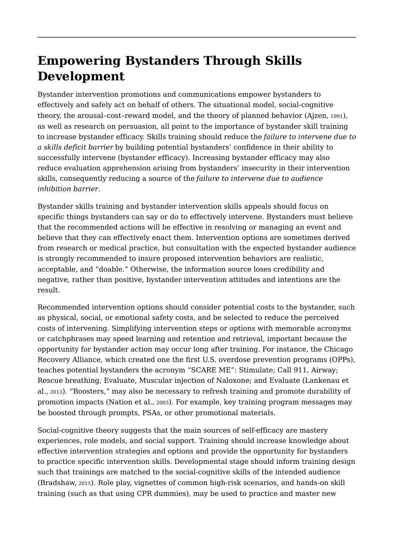# **Empowering Bystanders Through Skills Development**

Bystander intervention promotions and communications empower bystanders to effectively and safely act on behalf of others. The situational model, social-cognitive theory, the arousal–cost–reward model, and the theory of planned behavior (Ajzen, 1991), as well as research on persuasion, all point to the importance of bystander skill training to increase bystander efficacy. Skills training should reduce the *failure to intervene due to a skills deficit barrier* by building potential bystanders' confidence in their ability to successfully intervene (bystander efficacy). Increasing bystander efficacy may also reduce evaluation apprehension arising from bystanders' insecurity in their intervention skills, consequently reducing a source of the *failure to intervene due to audience inhibition barrier*.

Bystander skills training and bystander intervention skills appeals should focus on specific things bystanders can say or do to effectively intervene. Bystanders must believe that the recommended actions will be effective in resolving or managing an event and believe that they can effectively enact them. Intervention options are sometimes derived from research or medical practice, but consultation with the expected bystander audience is strongly recommended to insure proposed intervention behaviors are realistic, acceptable, and "doable." Otherwise, the information source loses credibility and negative, rather than positive, bystander intervention attitudes and intentions are the result.

Recommended intervention options should consider potential costs to the bystander, such as physical, social, or emotional safety costs, and be selected to reduce the perceived costs of intervening. Simplifying intervention steps or options with memorable acronyms or catchphrases may speed learning and retention and retrieval, important because the opportunity for bystander action may occur long after training. For instance, the Chicago Recovery Alliance, which created one the first U.S. overdose prevention programs (OPPs), teaches potential bystanders the acronym "SCARE ME": Stimulate; Call 911, Airway; Rescue breathing, Evaluate, Muscular injection of Naloxone; and Evaluate (Lankenau et al., 2013). "Boosters," may also be necessary to refresh training and promote durability of promotion impacts (Nation et al., 2003). For example, key training program messages may be boosted through prompts, PSAs, or other promotional materials.

Social-cognitive theory suggests that the main sources of self-efficacy are mastery experiences, role models, and social support. Training should increase knowledge about effective intervention strategies and options and provide the opportunity for bystanders to practice specific intervention skills. Developmental stage should inform training design such that trainings are matched to the social-cognitive skills of the intended audience (Bradshaw, 2015). Role play, vignettes of common high-risk scenarios, and hands-on skill training (such as that using CPR dummies), may be used to practice and master new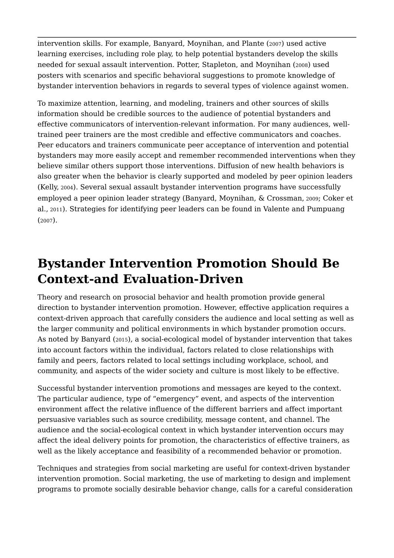intervention skills. For example, Banyard, Moynihan, and Plante (2007) used active learning exercises, including role play, to help potential bystanders develop the skills needed for sexual assault intervention. Potter, Stapleton, and Moynihan (2008) used posters with scenarios and specific behavioral suggestions to promote knowledge of bystander intervention behaviors in regards to several types of violence against women.

To maximize attention, learning, and modeling, trainers and other sources of skills information should be credible sources to the audience of potential bystanders and effective communicators of intervention-relevant information. For many audiences, welltrained peer trainers are the most credible and effective communicators and coaches. Peer educators and trainers communicate peer acceptance of intervention and potential bystanders may more easily accept and remember recommended interventions when they believe similar others support those interventions. Diffusion of new health behaviors is also greater when the behavior is clearly supported and modeled by peer opinion leaders (Kelly, 2004). Several sexual assault bystander intervention programs have successfully employed a peer opinion leader strategy (Banyard, Moynihan, & Crossman, 2009; Coker et al., 2011). Strategies for identifying peer leaders can be found in Valente and Pumpuang (2007).

# **Bystander Intervention Promotion Should Be Context-and Evaluation-Driven**

Theory and research on prosocial behavior and health promotion provide general direction to bystander intervention promotion. However, effective application requires a context-driven approach that carefully considers the audience and local setting as well as the larger community and political environments in which bystander promotion occurs. As noted by Banyard (2015), a social-ecological model of bystander intervention that takes into account factors within the individual, factors related to close relationships with family and peers, factors related to local settings including workplace, school, and community, and aspects of the wider society and culture is most likely to be effective.

Successful bystander intervention promotions and messages are keyed to the context. The particular audience, type of "emergency" event, and aspects of the intervention environment affect the relative influence of the different barriers and affect important persuasive variables such as source credibility, message content, and channel. The audience and the social-ecological context in which bystander intervention occurs may affect the ideal delivery points for promotion, the characteristics of effective trainers, as well as the likely acceptance and feasibility of a recommended behavior or promotion.

Techniques and strategies from social marketing are useful for context-driven bystander intervention promotion. Social marketing, the use of marketing to design and implement programs to promote socially desirable behavior change, calls for a careful consideration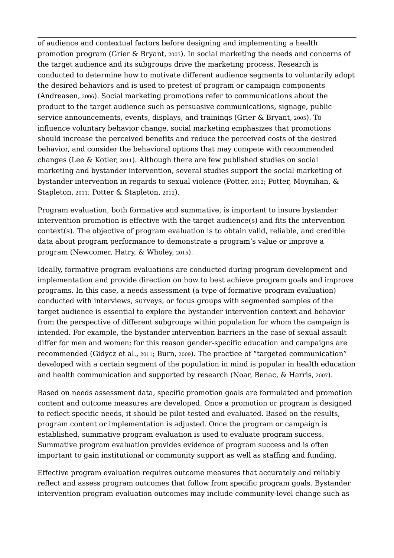of audience and contextual factors before designing and implementing a health promotion program (Grier & Bryant, 2005). In social marketing the needs and concerns of the target audience and its subgroups drive the marketing process. Research is conducted to determine how to motivate different audience segments to voluntarily adopt the desired behaviors and is used to pretest of program or campaign components (Andreasen, 2006). Social marketing promotions refer to communications about the product to the target audience such as persuasive communications, signage, public service announcements, events, displays, and trainings (Grier & Bryant, 2005). To influence voluntary behavior change, social marketing emphasizes that promotions should increase the perceived benefits and reduce the perceived costs of the desired behavior, and consider the behavioral options that may compete with recommended changes (Lee & Kotler, 2011). Although there are few published studies on social marketing and bystander intervention, several studies support the social marketing of bystander intervention in regards to sexual violence (Potter, 2012; Potter, Moynihan, & Stapleton, 2011; Potter & Stapleton, 2012).

Program evaluation, both formative and summative, is important to insure bystander intervention promotion is effective with the target audience(s) and fits the intervention context(s). The objective of program evaluation is to obtain valid, reliable, and credible data about program performance to demonstrate a program's value or improve a program (Newcomer, Hatry, & Wholey, 2015).

Ideally, formative program evaluations are conducted during program development and implementation and provide direction on how to best achieve program goals and improve programs. In this case, a needs assessment (a type of formative program evaluation) conducted with interviews, surveys, or focus groups with segmented samples of the target audience is essential to explore the bystander intervention context and behavior from the perspective of different subgroups within population for whom the campaign is intended. For example, the bystander intervention barriers in the case of sexual assault differ for men and women; for this reason gender-specific education and campaigns are recommended (Gidycz et al., 2011; Burn, 2009). The practice of "targeted communication" developed with a certain segment of the population in mind is popular in health education and health communication and supported by research (Noar, Benac, & Harris, 2007).

Based on needs assessment data, specific promotion goals are formulated and promotion content and outcome measures are developed. Once a promotion or program is designed to reflect specific needs, it should be pilot-tested and evaluated. Based on the results, program content or implementation is adjusted. Once the program or campaign is established, summative program evaluation is used to evaluate program success. Summative program evaluation provides evidence of program success and is often important to gain institutional or community support as well as staffing and funding.

Effective program evaluation requires outcome measures that accurately and reliably reflect and assess program outcomes that follow from specific program goals. Bystander intervention program evaluation outcomes may include community-level change such as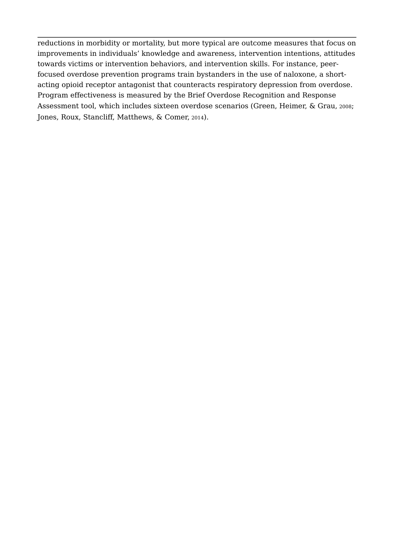reductions in morbidity or mortality, but more typical are outcome measures that focus on improvements in individuals' knowledge and awareness, intervention intentions, attitudes towards victims or intervention behaviors, and intervention skills. For instance, peerfocused overdose prevention programs train bystanders in the use of naloxone, a shortacting opioid receptor antagonist that counteracts respiratory depression from overdose. Program effectiveness is measured by the Brief Overdose Recognition and Response Assessment tool, which includes sixteen overdose scenarios (Green, Heimer, & Grau, 2008; Jones, Roux, Stancliff, Matthews, & Comer, 2014).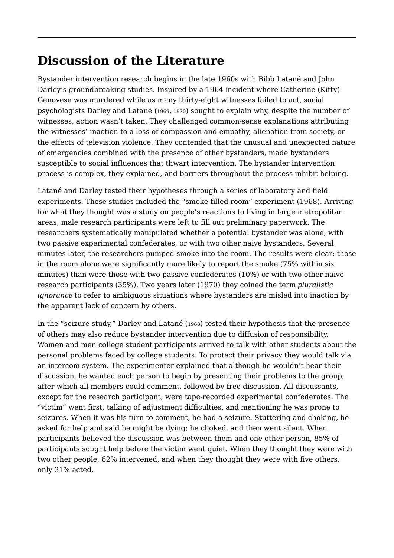## **Discussion of the Literature**

Bystander intervention research begins in the late 1960s with Bibb Latané and John Darley's groundbreaking studies. Inspired by a 1964 incident where Catherine (Kitty) Genovese was murdered while as many thirty-eight witnesses failed to act, social psychologists Darley and Latané (1969, 1970) sought to explain why, despite the number of witnesses, action wasn't taken. They challenged common-sense explanations attributing the witnesses' inaction to a loss of compassion and empathy, alienation from society, or the effects of television violence. They contended that the unusual and unexpected nature of emergencies combined with the presence of other bystanders, made bystanders susceptible to social influences that thwart intervention. The bystander intervention process is complex, they explained, and barriers throughout the process inhibit helping.

Latané and Darley tested their hypotheses through a series of laboratory and field experiments. These studies included the "smoke-filled room" experiment (1968). Arriving for what they thought was a study on people's reactions to living in large metropolitan areas, male research participants were left to fill out preliminary paperwork. The researchers systematically manipulated whether a potential bystander was alone, with two passive experimental confederates, or with two other naive bystanders. Several minutes later, the researchers pumped smoke into the room. The results were clear: those in the room alone were significantly more likely to report the smoke (75% within six minutes) than were those with two passive confederates (10%) or with two other naïve research participants (35%). Two years later (1970) they coined the term *pluralistic ignorance* to refer to ambiguous situations where bystanders are misled into inaction by the apparent lack of concern by others.

In the "seizure study," Darley and Latané (1968) tested their hypothesis that the presence of others may also reduce bystander intervention due to diffusion of responsibility. Women and men college student participants arrived to talk with other students about the personal problems faced by college students. To protect their privacy they would talk via an intercom system. The experimenter explained that although he wouldn't hear their discussion, he wanted each person to begin by presenting their problems to the group, after which all members could comment, followed by free discussion. All discussants, except for the research participant, were tape-recorded experimental confederates. The "victim" went first, talking of adjustment difficulties, and mentioning he was prone to seizures. When it was his turn to comment, he had a seizure. Stuttering and choking, he asked for help and said he might be dying; he choked, and then went silent. When participants believed the discussion was between them and one other person, 85% of participants sought help before the victim went quiet. When they thought they were with two other people, 62% intervened, and when they thought they were with five others, only 31% acted.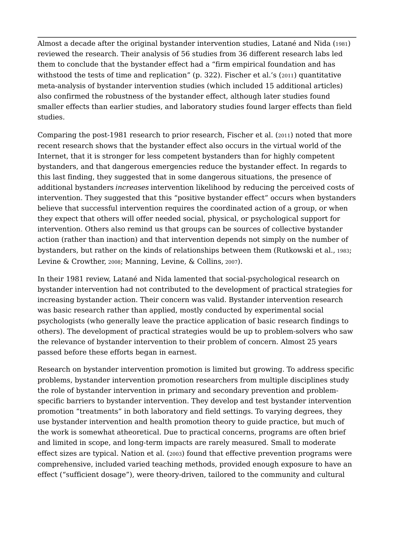Almost a decade after the original bystander intervention studies, Latané and Nida (1981) reviewed the research. Their analysis of 56 studies from 36 different research labs led them to conclude that the bystander effect had a "firm empirical foundation and has withstood the tests of time and replication" (p. 322). Fischer et al.'s (2011) quantitative meta-analysis of bystander intervention studies (which included 15 additional articles) also confirmed the robustness of the bystander effect, although later studies found smaller effects than earlier studies, and laboratory studies found larger effects than field studies.

 additional bystanders *increases* intervention likelihood by reducing the perceived costs of Comparing the post-1981 research to prior research, Fischer et al. (2011) noted that more recent research shows that the bystander effect also occurs in the virtual world of the Internet, that it is stronger for less competent bystanders than for highly competent bystanders, and that dangerous emergencies reduce the bystander effect. In regards to this last finding, they suggested that in some dangerous situations, the presence of intervention. They suggested that this "positive bystander effect" occurs when bystanders believe that successful intervention requires the coordinated action of a group, or when they expect that others will offer needed social, physical, or psychological support for intervention. Others also remind us that groups can be sources of collective bystander action (rather than inaction) and that intervention depends not simply on the number of bystanders, but rather on the kinds of relationships between them (Rutkowski et al., 1983; Levine & Crowther, 2008; Manning, Levine, & Collins, 2007).

In their 1981 review, Latané and Nida lamented that social-psychological research on bystander intervention had not contributed to the development of practical strategies for increasing bystander action. Their concern was valid. Bystander intervention research was basic research rather than applied, mostly conducted by experimental social psychologists (who generally leave the practice application of basic research findings to others). The development of practical strategies would be up to problem-solvers who saw the relevance of bystander intervention to their problem of concern. Almost 25 years passed before these efforts began in earnest.

Research on bystander intervention promotion is limited but growing. To address specific problems, bystander intervention promotion researchers from multiple disciplines study the role of bystander intervention in primary and secondary prevention and problemspecific barriers to bystander intervention. They develop and test bystander intervention promotion "treatments" in both laboratory and field settings. To varying degrees, they use bystander intervention and health promotion theory to guide practice, but much of the work is somewhat atheoretical. Due to practical concerns, programs are often brief and limited in scope, and long-term impacts are rarely measured. Small to moderate effect sizes are typical. Nation et al. (2003) found that effective prevention programs were comprehensive, included varied teaching methods, provided enough exposure to have an effect ("sufficient dosage"), were theory-driven, tailored to the community and cultural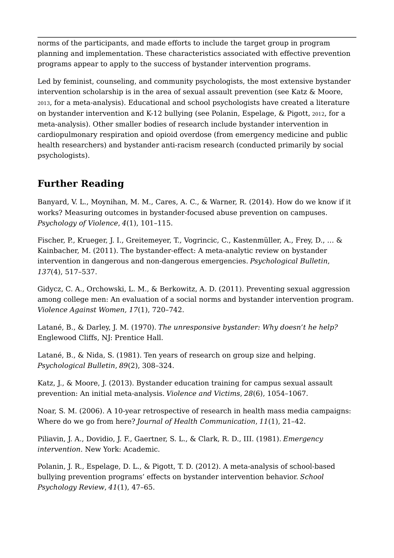norms of the participants, and made efforts to include the target group in program planning and implementation. These characteristics associated with effective prevention programs appear to apply to the success of bystander intervention programs.

Led by feminist, counseling, and community psychologists, the most extensive bystander intervention scholarship is in the area of sexual assault prevention (see Katz & Moore, 2013, for a meta-analysis). Educational and school psychologists have created a literature on bystander intervention and K-12 bullying (see Polanin, Espelage, & Pigott, 2012, for a meta-analysis). Other smaller bodies of research include bystander intervention in cardiopulmonary respiration and opioid overdose (from emergency medicine and public health researchers) and bystander anti-racism research (conducted primarily by social psychologists).

### **Further Reading**

Banyard, V. L., Moynihan, M. M., Cares, A. C., & Warner, R. (2014). How do we know if it works? Measuring outcomes in bystander-focused abuse prevention on campuses. *Psychology of Violence*, *4*(1), 101–115.

Fischer, P., Krueger, J. I., Greitemeyer, T., Vogrincic, C., Kastenmüller, A., Frey, D., … & Kainbacher, M. (2011). The bystander-effect: A meta-analytic review on bystander intervention in dangerous and non-dangerous emergencies. *Psychological Bulletin*, *137*(4), 517–537.

Gidycz, C. A., Orchowski, L. M., & Berkowitz, A. D. (2011). Preventing sexual aggression among college men: An evaluation of a social norms and bystander intervention program. *Violence Against Women, 17*(1), 720–742.

Latané, B., & Darley, J. M. (1970). *The unresponsive bystander: Why doesn't he help?* Englewood Cliffs, NJ: Prentice Hall.

Latané, B., & Nida, S. (1981). Ten years of research on group size and helping. *Psychological Bulletin*, *89*(2), 308–324.

Katz, J., & Moore, J. (2013). Bystander education training for campus sexual assault prevention: An initial meta-analysis. *Violence and Victims*, *28*(6), 1054–1067.

Noar, S. M. (2006). A 10-year retrospective of research in health mass media campaigns: Where do we go from here? *Journal of Health Communication*, *11*(1), 21–42.

Piliavin, J. A., Dovidio, J. F., Gaertner, S. L., & Clark, R. D., III. (1981). *Emergency intervention*. New York: Academic.

Polanin, J. R., Espelage, D. L., & Pigott, T. D. (2012). A meta-analysis of school-based bullying prevention programs' effects on bystander intervention behavior. *School Psychology Review*, *41*(1), 47–65.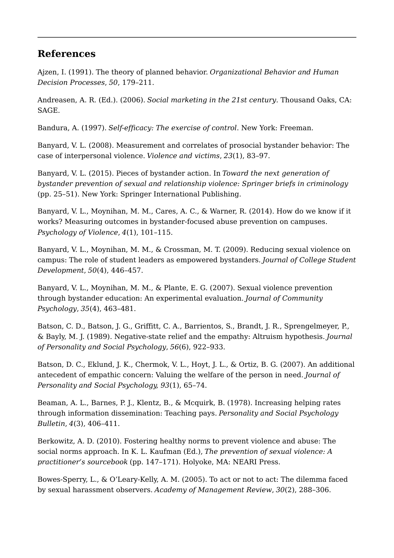#### **References**

Ajzen, I. (1991). The theory of planned behavior. *Organizational Behavior and Human Decision Processes*, *50*, 179–211.

Andreasen, A. R. (Ed.). (2006). *Social marketing in the 21st century*. Thousand Oaks, CA: SAGE.

Bandura, A. (1997). *Self-efficacy: The exercise of control*. New York: Freeman.

Banyard, V. L. (2008). Measurement and correlates of prosocial bystander behavior: The case of interpersonal violence. *Violence and victims*, *23*(1), 83–97.

Banyard, V. L. (2015). Pieces of bystander action. In *Toward the next generation of bystander prevention of sexual and relationship violence: Springer briefs in criminology*  (pp. 25–51). New York: Springer International Publishing.

Banyard, V. L., Moynihan, M. M., Cares, A. C., & Warner, R. (2014). How do we know if it works? Measuring outcomes in bystander-focused abuse prevention on campuses. *Psychology of Violence*, *4*(1), 101–115.

Banyard, V. L., Moynihan, M. M., & Crossman, M. T. (2009). Reducing sexual violence on campus: The role of student leaders as empowered bystanders. *Journal of College Student Development*, *50*(4), 446–457.

Banyard, V. L., Moynihan, M. M., & Plante, E. G. (2007). Sexual violence prevention through bystander education: An experimental evaluation. *Journal of Community Psychology*, *35*(4), 463–481.

Batson, C. D., Batson, J. G., Griffitt, C. A., Barrientos, S., Brandt, J. R., Sprengelmeyer, P., & Bayly, M. J. (1989). Negative-state relief and the empathy: Altruism hypothesis. *Journal of Personality and Social Psychology*, *56*(6), 922–933.

Batson, D. C., Eklund, J. K., Chermok, V. L., Hoyt, J. L., & Ortiz, B. G. (2007). An additional antecedent of empathic concern: Valuing the welfare of the person in need. *Journal of Personality and Social Psychology, 93*(1), 65–74.

Beaman, A. L., Barnes, P. J., Klentz, B., & Mcquirk, B. (1978). Increasing helping rates through information dissemination: Teaching pays. *Personality and Social Psychology Bulletin*, *4*(3), 406–411.

Berkowitz, A. D. (2010). Fostering healthy norms to prevent violence and abuse: The social norms approach. In K. L. Kaufman (Ed.), *The prevention of sexual violence: A practitioner's sourcebook* (pp. 147–171). Holyoke, MA: NEARI Press.

Bowes-Sperry, L., & O'Leary-Kelly, A. M. (2005). To act or not to act: The dilemma faced by sexual harassment observers. *Academy of Management Review*, *30*(2), 288–306.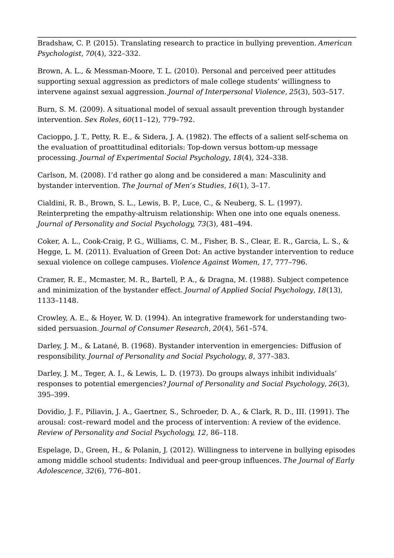Bradshaw, C. P. (2015). Translating research to practice in bullying prevention. *American Psychologist*, *70*(4), 322–332.

Brown, A. L., & Messman-Moore, T. L. (2010). Personal and perceived peer attitudes supporting sexual aggression as predictors of male college students' willingness to intervene against sexual aggression. *Journal of Interpersonal Violence*, *25*(3), 503–517.

Burn, S. M. (2009). A situational model of sexual assault prevention through bystander intervention. *Sex Roles*, *60*(11–12), 779–792.

Cacioppo, J. T., Petty, R. E., & Sidera, J. A. (1982). The effects of a salient self-schema on the evaluation of proattitudinal editorials: Top-down versus bottom-up message processing. *Journal of Experimental Social Psychology*, *18*(4), 324–338.

Carlson, M. (2008). I'd rather go along and be considered a man: Masculinity and bystander intervention. *The Journal of Men's Studies*, *16*(1), 3–17.

Cialdini, R. B., Brown, S. L., Lewis, B. P., Luce, C., & Neuberg, S. L. (1997). Reinterpreting the empathy-altruism relationship: When one into one equals oneness. *Journal of Personality and Social Psychology, 73*(3), 481–494.

Coker, A. L., Cook-Craig, P. G., Williams, C. M., Fisher, B. S., Clear, E. R., Garcia, L. S., & Hegge, L. M. (2011). Evaluation of Green Dot: An active bystander intervention to reduce sexual violence on college campuses. *Violence Against Women, 17*, 777–796.

Cramer, R. E., Mcmaster, M. R., Bartell, P. A., & Dragna, M. (1988). Subject competence and minimization of the bystander effect. *Journal of Applied Social Psychology*, *18*(13), 1133–1148.

Crowley, A. E., & Hoyer, W. D. (1994). An integrative framework for understanding twosided persuasion. *Journal of Consumer Research*, *20*(4), 561–574.

Darley, J. M., & Latané, B. (1968). Bystander intervention in emergencies: Diffusion of responsibility. *Journal of Personality and Social Psychology*, *8*, 377–383.

Darley, J. M., Teger, A. I., & Lewis, L. D. (1973). Do groups always inhibit individuals' responses to potential emergencies? *Journal of Personality and Social Psychology*, *26*(3), 395–399.

Dovidio, J. F., Piliavin, J. A., Gaertner, S., Schroeder, D. A., & Clark, R. D., III. (1991). The arousal: cost–reward model and the process of intervention: A review of the evidence. *Review of Personality and Social Psychology, 12*, 86–118.

Espelage, D., Green, H., & Polanin, J. (2012). Willingness to intervene in bullying episodes among middle school students: Individual and peer-group influences. *The Journal of Early Adolescence*, *32*(6), 776–801.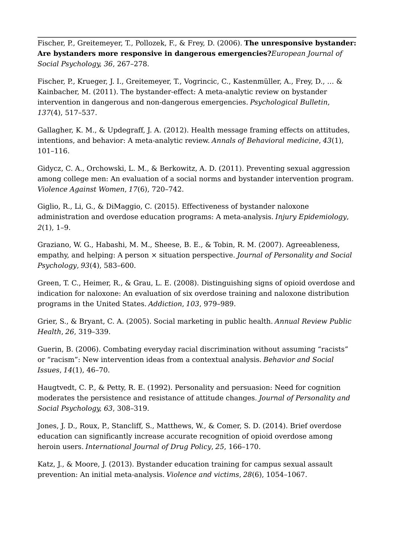Fischer, P., Greitemeyer, T., Pollozek, F., & Frey, D. (2006). **The unresponsive bystander: Are bystanders more responsive in dangerous emergencies?***European Journal of Social Psychology, 36*, 267–278.

Fischer, P., Krueger, J. I., Greitemeyer, T., Vogrincic, C., Kastenmüller, A., Frey, D., … & Kainbacher, M. (2011). The bystander-effect: A meta-analytic review on bystander intervention in dangerous and non-dangerous emergencies. *Psychological Bulletin*, *137*(4), 517–537.

Gallagher, K. M., & Updegraff, J. A. (2012). Health message framing effects on attitudes, intentions, and behavior: A meta-analytic review. *Annals of Behavioral medicine*, *43*(1), 101–116.

Gidycz, C. A., Orchowski, L. M., & Berkowitz, A. D. (2011). Preventing sexual aggression among college men: An evaluation of a social norms and bystander intervention program. *Violence Against Women*, *17*(6), 720–742.

Giglio, R., Li, G., & DiMaggio, C. (2015). Effectiveness of bystander naloxone administration and overdose education programs: A meta-analysis. *Injury Epidemiology*, *2*(1), 1–9.

Graziano, W. G., Habashi, M. M., Sheese, B. E., & Tobin, R. M. (2007). Agreeableness, empathy, and helping: A person × situation perspective. *Journal of Personality and Social Psychology*, *93*(4), 583–600.

Green, T. C., Heimer, R., & Grau, L. E. (2008). Distinguishing signs of opioid overdose and indication for naloxone: An evaluation of six overdose training and naloxone distribution programs in the United States. *Addiction*, *103*, 979–989.

Grier, S., & Bryant, C. A. (2005). Social marketing in public health. *Annual Review Public Health*, *26*, 319–339.

Guerin, B. (2006). Combating everyday racial discrimination without assuming "racists" or "racism": New intervention ideas from a contextual analysis. *Behavior and Social Issues*, *14*(1), 46–70.

Haugtvedt, C. P., & Petty, R. E. (1992). Personality and persuasion: Need for cognition moderates the persistence and resistance of attitude changes. *Journal of Personality and Social Psychology, 63*, 308–319.

Jones, J. D., Roux, P., Stancliff, S., Matthews, W., & Comer, S. D. (2014). Brief overdose education can significantly increase accurate recognition of opioid overdose among heroin users. *International Journal of Drug Policy*, *25*, 166–170.

Katz, J., & Moore, J. (2013). Bystander education training for campus sexual assault prevention: An initial meta-analysis. *Violence and victims*, *28*(6), 1054–1067.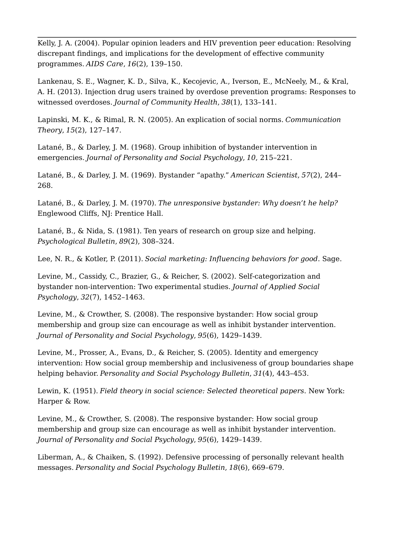Kelly, J. A. (2004). Popular opinion leaders and HIV prevention peer education: Resolving discrepant findings, and implications for the development of effective community programmes. *AIDS Care*, *16*(2), 139–150.

Lankenau, S. E., Wagner, K. D., Silva, K., Kecojevic, A., Iverson, E., McNeely, M., & Kral, A. H. (2013). Injection drug users trained by overdose prevention programs: Responses to witnessed overdoses. *Journal of Community Health*, *38*(1), 133–141.

Lapinski, M. K., & Rimal, R. N. (2005). An explication of social norms. *Communication Theory*, *15*(2), 127–147.

Latané, B., & Darley, J. M. (1968). Group inhibition of bystander intervention in emergencies. *Journal of Personality and Social Psychology*, *10*, 215–221.

Latané, B., & Darley, J. M. (1969). Bystander "apathy." *American Scientist*, *57*(2), 244– 268.

Latané, B., & Darley, J. M. (1970). *The unresponsive bystander: Why doesn't he help?* Englewood Cliffs, NJ: Prentice Hall.

Latané, B., & Nida, S. (1981). Ten years of research on group size and helping. *Psychological Bulletin*, *89*(2), 308–324.

Lee, N. R., & Kotler, P. (2011). *Social marketing: Influencing behaviors for good*. Sage.

Levine, M., Cassidy, C., Brazier, G., & Reicher, S. (2002). Self‐categorization and bystander non‐intervention: Two experimental studies. *Journal of Applied Social Psychology*, *32*(7), 1452–1463.

Levine, M., & Crowther, S. (2008). The responsive bystander: How social group membership and group size can encourage as well as inhibit bystander intervention. *Journal of Personality and Social Psychology*, *95*(6), 1429–1439.

Levine, M., Prosser, A., Evans, D., & Reicher, S. (2005). Identity and emergency intervention: How social group membership and inclusiveness of group boundaries shape helping behavior. *Personality and Social Psychology Bulletin*, *31*(4), 443–453.

Lewin, K. (1951). *Field theory in social science: Selected theoretical papers*. New York: Harper & Row.

Levine, M., & Crowther, S. (2008). The responsive bystander: How social group membership and group size can encourage as well as inhibit bystander intervention. *Journal of Personality and Social Psychology*, *95*(6), 1429–1439.

Liberman, A., & Chaiken, S. (1992). Defensive processing of personally relevant health messages. *Personality and Social Psychology Bulletin*, *18*(6), 669–679.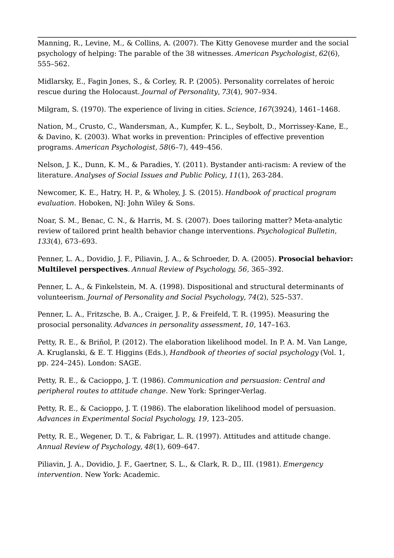Manning, R., Levine, M., & Collins, A. (2007). The Kitty Genovese murder and the social psychology of helping: The parable of the 38 witnesses. *American Psychologist*, *62*(6), 555–562.

Midlarsky, E., Fagin Jones, S., & Corley, R. P. (2005). Personality correlates of heroic rescue during the Holocaust. *Journal of Personality*, *73*(4), 907–934.

Milgram, S. (1970). The experience of living in cities. *Science*, *167*(3924), 1461–1468.

Nation, M., Crusto, C., Wandersman, A., Kumpfer, K. L., Seybolt, D., Morrissey-Kane, E., & Davino, K. (2003). What works in prevention: Principles of effective prevention programs. *American Psychologist*, *58*(6–7), 449–456.

Nelson, J. K., Dunn, K. M., & Paradies, Y. (2011). Bystander anti-racism: A review of the literature. *Analyses of Social Issues and Public Policy*, *11*(1), 263-284.

Newcomer, K. E., Hatry, H. P., & Wholey, J. S. (2015). *Handbook of practical program evaluation*. Hoboken, NJ: John Wiley & Sons.

Noar, S. M., Benac, C. N., & Harris, M. S. (2007). Does tailoring matter? Meta-analytic review of tailored print health behavior change interventions. *Psychological Bulletin*, *133*(4), 673–693.

Penner, L. A., Dovidio, J. F., Piliavin, J. A., & Schroeder, D. A. (2005). **Prosocial behavior: Multilevel perspectives**. *Annual Review of Psychology, 56*, 365–392.

Penner, L. A., & Finkelstein, M. A. (1998). Dispositional and structural determinants of volunteerism. *Journal of Personality and Social Psychology*, *74*(2), 525–537.

Penner, L. A., Fritzsche, B. A., Craiger, J. P., & Freifeld, T. R. (1995). Measuring the prosocial personality. *Advances in personality assessment*, *10*, 147–163.

Petty, R. E., & Briñol, P. (2012). The elaboration likelihood model. In P. A. M. Van Lange, A. Kruglanski, & E. T. Higgins (Eds.), *Handbook of theories of social psychology* (Vol. 1, pp. 224–245). London: SAGE.

Petty, R. E., & Cacioppo, J. T. (1986). *Communication and persuasion: Central and peripheral routes to attitude change*. New York: Springer-Verlag.

Petty, R. E., & Cacioppo, J. T. (1986). The elaboration likelihood model of persuasion. *Advances in Experimental Social Psychology, 19*, 123–205.

Petty, R. E., Wegener, D. T., & Fabrigar, L. R. (1997). Attitudes and attitude change. *Annual Review of Psychology*, *48*(1), 609–647.

Piliavin, J. A., Dovidio, J. F., Gaertner, S. L., & Clark, R. D., III. (1981). *Emergency intervention*. New York: Academic.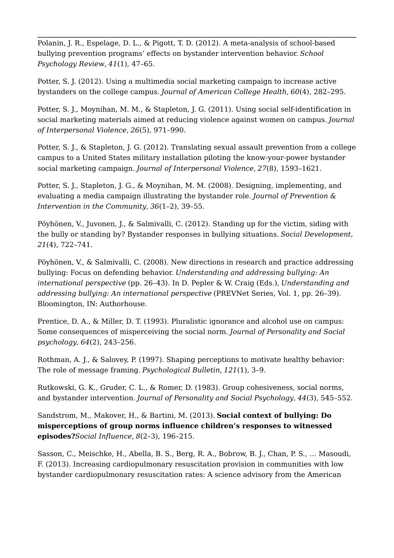Polanin, J. R., Espelage, D. L., & Pigott, T. D. (2012). A meta-analysis of school-based bullying prevention programs' effects on bystander intervention behavior. *School Psychology Review*, *41*(1), 47–65.

Potter, S. J. (2012). Using a multimedia social marketing campaign to increase active bystanders on the college campus. *Journal of American College Health*, *60*(4), 282–295.

Potter, S. J., Moynihan, M. M., & Stapleton, J. G. (2011). Using social self-identification in social marketing materials aimed at reducing violence against women on campus. *Journal of Interpersonal Violence*, *26*(5), 971–990.

Potter, S. J., & Stapleton, J. G. (2012). Translating sexual assault prevention from a college campus to a United States military installation piloting the know-your-power bystander social marketing campaign. *Journal of Interpersonal Violence*, *27*(8), 1593–1621.

Potter, S. J., Stapleton, J. G., & Moynihan, M. M. (2008). Designing, implementing, and evaluating a media campaign illustrating the bystander role. *Journal of Prevention & Intervention in the Community*, *36*(1–2), 39–55.

Pöyhönen, V., Juvonen, J., & Salmivalli, C. (2012). Standing up for the victim, siding with the bully or standing by? Bystander responses in bullying situations. *Social Development*, *21*(4), 722–741.

Pöyhönen, V., & Salmivalli, C. (2008). New directions in research and practice addressing bullying: Focus on defending behavior. *Understanding and addressing bullying: An international perspective* (pp. 26–43). In D. Pepler & W. Craig (Eds.), *Understanding and addressing bullying: An international perspective* (PREVNet Series, Vol. 1, pp. 26–39). Bloomington, IN: Authorhouse.

Prentice, D. A., & Miller, D. T. (1993). Pluralistic ignorance and alcohol use on campus: Some consequences of misperceiving the social norm. *Journal of Personality and Social psychology*, *64*(2), 243–256.

Rothman, A. J., & Salovey, P. (1997). Shaping perceptions to motivate healthy behavior: The role of message framing. *Psychological Bulletin*, *121*(1), 3–9.

Rutkowski, G. K., Gruder, C. L., & Romer, D. (1983). Group cohesiveness, social norms, and bystander intervention. *Journal of Personality and Social Psychology*, *44*(3), 545–552.

Sandstrom, M., Makover, H., & Bartini, M. (2013). **Social context of bullying: Do misperceptions of group norms influence children's responses to witnessed episodes?***Social Influence*, *8*(2–3), 196–215.

Sasson, C., Meischke, H., Abella, B. S., Berg, R. A., Bobrow, B. J., Chan, P. S., … Masoudi, F. (2013). Increasing cardiopulmonary resuscitation provision in communities with low bystander cardiopulmonary resuscitation rates: A science advisory from the American